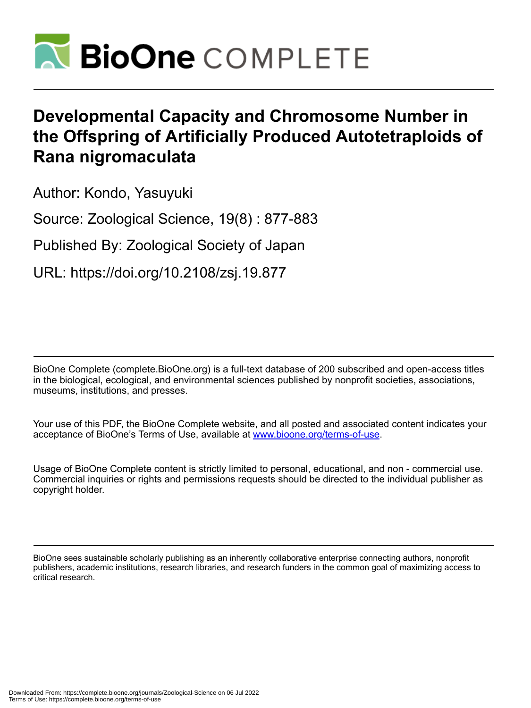

# **Developmental Capacity and Chromosome Number in the Offspring of Artificially Produced Autotetraploids of Rana nigromaculata**

Author: Kondo, Yasuyuki

Source: Zoological Science, 19(8) : 877-883

Published By: Zoological Society of Japan

URL: https://doi.org/10.2108/zsj.19.877

BioOne Complete (complete.BioOne.org) is a full-text database of 200 subscribed and open-access titles in the biological, ecological, and environmental sciences published by nonprofit societies, associations, museums, institutions, and presses.

Your use of this PDF, the BioOne Complete website, and all posted and associated content indicates your acceptance of BioOne's Terms of Use, available at www.bioone.org/terms-of-use.

Usage of BioOne Complete content is strictly limited to personal, educational, and non - commercial use. Commercial inquiries or rights and permissions requests should be directed to the individual publisher as copyright holder.

BioOne sees sustainable scholarly publishing as an inherently collaborative enterprise connecting authors, nonprofit publishers, academic institutions, research libraries, and research funders in the common goal of maximizing access to critical research.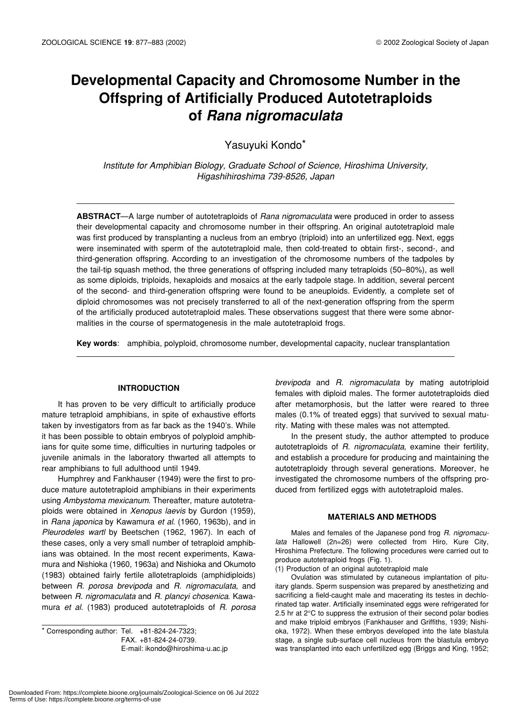# **Developmental Capacity and Chromosome Number in the Offspring of Artificially Produced Autotetraploids of** *Rana nigromaculata*

Yasuyuki Kondo\*

*Institute for Amphibian Biology, Graduate School of Science, Hiroshima University, Higashihiroshima 739-8526, Japan*

**ABSTRACT**—A large number of autotetraploids of *Rana nigromaculata* were produced in order to assess their developmental capacity and chromosome number in their offspring. An original autotetraploid male was first produced by transplanting a nucleus from an embryo (triploid) into an unfertilized egg. Next, eggs were inseminated with sperm of the autotetraploid male, then cold-treated to obtain first-, second-, and third-generation offspring. According to an investigation of the chromosome numbers of the tadpoles by the tail-tip squash method, the three generations of offspring included many tetraploids (50–80%), as well as some diploids, triploids, hexaploids and mosaics at the early tadpole stage. In addition, several percent of the second- and third-generation offspring were found to be aneuploids. Evidently, a complete set of diploid chromosomes was not precisely transferred to all of the next-generation offspring from the sperm of the artificially produced autotetraploid males. These observations suggest that there were some abnormalities in the course of spermatogenesis in the male autotetraploid frogs.

**Key words**: amphibia, polyploid, chromosome number, developmental capacity, nuclear transplantation

# **INTRODUCTION**

It has proven to be very difficult to artificially produce mature tetraploid amphibians, in spite of exhaustive efforts taken by investigators from as far back as the 1940's. While it has been possible to obtain embryos of polyploid amphibians for quite some time, difficulties in nurturing tadpoles or juvenile animals in the laboratory thwarted all attempts to rear amphibians to full adulthood until 1949.

Humphrey and Fankhauser (1949) were the first to produce mature autotetraploid amphibians in their experiments using *Ambystoma mexicanum*. Thereafter, mature autotetraploids were obtained in *Xenopus laevis* by Gurdon (1959), in *Rana japonica* by Kawamura *et al*. (1960, 1963b), and in *Pleurodeles wartl* by Beetschen (1962, 1967). In each of these cases, only a very small number of tetraploid amphibians was obtained. In the most recent experiments, Kawamura and Nishioka (1960, 1963a) and Nishioka and Okumoto (1983) obtained fairly fertile allotetraploids (amphidiploids) between *R. porosa brevipoda* and *R. nigromaculata*, and between *R. nigromaculata* and *R. plancyi chosenica*. Kawamura *et al*. (1983) produced autotetraploids of *R. porosa*

\* Corresponding author: Tel. +81-824-24-7323; FAX. +81-824-24-0739. E-mail: ikondo@hiroshima-u.ac.jp

*brevipoda* and *R. nigromaculata* by mating autotriploid females with diploid males. The former autotetraploids died after metamorphosis, but the latter were reared to three males (0.1% of treated eggs) that survived to sexual maturity. Mating with these males was not attempted.

In the present study, the author attempted to produce autotetraploids of *R. nigromaculata*, examine their fertility, and establish a procedure for producing and maintaining the autotetraploidy through several generations. Moreover, he investigated the chromosome numbers of the offspring produced from fertilized eggs with autotetraploid males.

#### **MATERIALS AND METHODS**

Males and females of the Japanese pond frog *R. nigromaculata* Hallowell (2n=26) were collected from Hiro, Kure City, Hiroshima Prefecture. The following procedures were carried out to produce autotetraploid frogs (Fig. 1).

(1) Production of an original autotetraploid male

Ovulation was stimulated by cutaneous implantation of pituitary glands. Sperm suspension was prepared by anesthetizing and sacrificing a field-caught male and macerating its testes in dechlorinated tap water. Artificially inseminated eggs were refrigerated for 2.5 hr at 2°C to suppress the extrusion of their second polar bodies and make triploid embryos (Fankhauser and Griffiths, 1939; Nishioka, 1972). When these embryos developed into the late blastula stage, a single sub-surface cell nucleus from the blastula embryo was transplanted into each unfertilized egg (Briggs and King, 1952;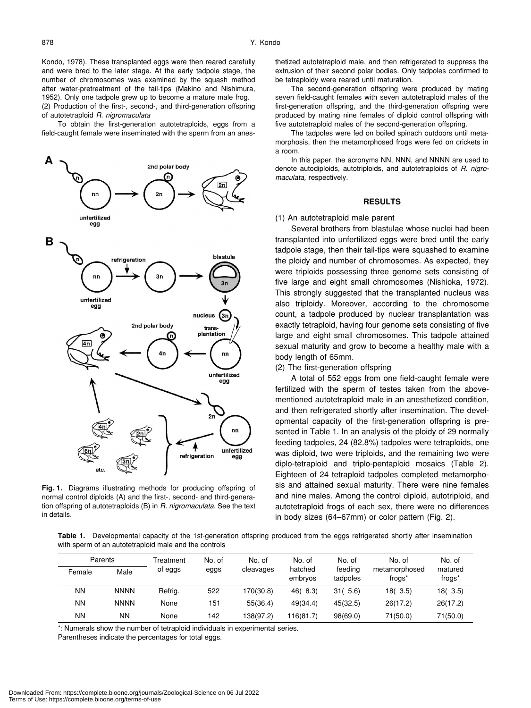Kondo, 1978). These transplanted eggs were then reared carefully and were bred to the later stage. At the early tadpole stage, the number of chromosomes was examined by the squash method after water-pretreatment of the tail-tips (Makino and Nishimura, 1952). Only one tadpole grew up to become a mature male frog. (2) Production of the first-, second-, and third-generation offspring of autotetraploid *R. nigromaculata*

To obtain the first-generation autotetraploids, eggs from a field-caught female were inseminated with the sperm from an anes-



**Fig. 1.** Diagrams illustrating methods for producing offspring of normal control diploids (A) and the first-, second- and third-generation offspring of autotetraploids (B) in *R. nigromaculata*. See the text in details.

thetized autotetraploid male, and then refrigerated to suppress the extrusion of their second polar bodies. Only tadpoles confirmed to be tetraploidy were reared until maturation.

The second-generation offspring were produced by mating seven field-caught females with seven autotetraploid males of the first-generation offspring, and the third-generation offspring were produced by mating nine females of diploid control offspring with five autotetraploid males of the second-generation offspring.

The tadpoles were fed on boiled spinach outdoors until metamorphosis, then the metamorphosed frogs were fed on crickets in a room.

In this paper, the acronyms NN, NNN, and NNNN are used to denote autodiploids, autotriploids, and autotetraploids of *R. nigromaculata,* respectively.

#### **RESULTS**

# (1) An autotetraploid male parent

Several brothers from blastulae whose nuclei had been transplanted into unfertilized eggs were bred until the early tadpole stage, then their tail-tips were squashed to examine the ploidy and number of chromosomes. As expected, they were triploids possessing three genome sets consisting of five large and eight small chromosomes (Nishioka, 1972). This strongly suggested that the transplanted nucleus was also triploidy. Moreover, according to the chromosome count, a tadpole produced by nuclear transplantation was exactly tetraploid, having four genome sets consisting of five large and eight small chromosomes. This tadpole attained sexual maturity and grow to become a healthy male with a body length of 65mm.

# (2) The first-generation offspring

A total of 552 eggs from one field-caught female were fertilized with the sperm of testes taken from the abovementioned autotetraploid male in an anesthetized condition, and then refrigerated shortly after insemination. The developmental capacity of the first-generation offspring is presented in Table 1. In an analysis of the ploidy of 29 normally feeding tadpoles, 24 (82.8%) tadpoles were tetraploids, one was diploid, two were triploids, and the remaining two were diplo-tetraploid and triplo-pentaploid mosaics (Table 2). Eighteen of 24 tetraploid tadpoles completed metamorphosis and attained sexual maturity. There were nine females and nine males. Among the control diploid, autotriploid, and autotetraploid frogs of each sex, there were no differences in body sizes (64–67mm) or color pattern (Fig. 2).

Table 1. Developmental capacity of the 1st-generation offspring produced from the eggs refrigerated shortly after insemination with sperm of an autotetraploid male and the controls

| Parents   |             | Treatment | No. of | No. of    | No. of             | No. of              | No. of                              | No. of            |
|-----------|-------------|-----------|--------|-----------|--------------------|---------------------|-------------------------------------|-------------------|
| Female    | Male        | of eggs   | eggs   | cleavages | hatched<br>embryos | feeding<br>tadpoles | metamorphosed<br>frogs <sup>*</sup> | matured<br>frogs* |
| ΝN        | <b>NNNN</b> | Refrig.   | 522    | 170(30.8) | 46(8.3)            | 31(5.6)             | 18(3.5)                             | 18(3.5)           |
| <b>NN</b> | <b>NNNN</b> | None      | 151    | 55(36.4)  | 49(34.4)           | 45(32.5)            | 26(17.2)                            | 26(17.2)          |
| ΝN        | ΝN          | None      | 142    | 138(97.2) | 116(81.7)          | 98(69.0)            | 71(50.0)                            | 71(50.0)          |

\*: Numerals show the number of tetraploid individuals in experimental series.

Parentheses indicate the percentages for total eggs.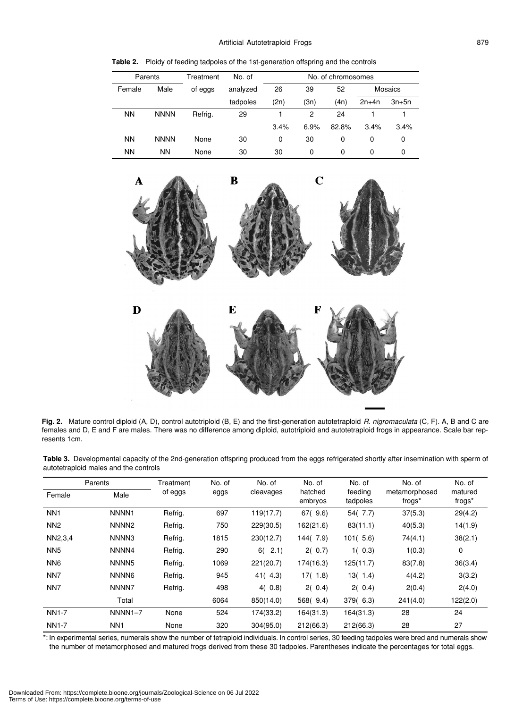**Table 2.** Ploidy of feeding tadpoles of the 1st-generation offspring and the controls

| Parents   |             | Treatment | No. of   | No. of chromosomes |      |       |         |         |  |  |  |  |  |
|-----------|-------------|-----------|----------|--------------------|------|-------|---------|---------|--|--|--|--|--|
| Female    | Male        | of eggs   | analyzed | 26                 | 39   | 52    |         | Mosaics |  |  |  |  |  |
|           |             |           | tadpoles | (2n)               | (3n) | (4n)  | $2n+4n$ | $3n+5n$ |  |  |  |  |  |
| <b>NN</b> | <b>NNNN</b> | Refrig.   | 29       |                    | 2    | 24    |         |         |  |  |  |  |  |
|           |             |           |          | 3.4%               | 6.9% | 82.8% | 3.4%    | 3.4%    |  |  |  |  |  |
| <b>NN</b> | <b>NNNN</b> | None      | 30       | 0                  | 30   | 0     | 0       | 0       |  |  |  |  |  |
| <b>NN</b> | <b>NN</b>   | None      | 30       | 30                 | 0    | 0     | 0       | 0       |  |  |  |  |  |



**Fig. 2.** Mature control diploid (A, D), control autotriploid (B, E) and the first-generation autotetraploid *R. nigromaculata* (C, F). A, B and C are females and D, E and F are males. There was no difference among diploid, autotriploid and autotetraploid frogs in appearance. Scale bar represents 1cm.

**Table 3.** Developmental capacity of the 2nd-generation offspring produced from the eggs refrigerated shortly after insemination with sperm of autotetraploid males and the controls

|                 | Parents             | Treatment | No. of | No. of     | No. of             | No. of              | No. of                  | No. of            |
|-----------------|---------------------|-----------|--------|------------|--------------------|---------------------|-------------------------|-------------------|
| Female          | Male                | of eggs   | eggs   | cleavages  | hatched<br>embryos | feeding<br>tadpoles | metamorphosed<br>frogs* | matured<br>frogs* |
| NN <sub>1</sub> | NNNN <sub>1</sub>   | Refrig.   | 697    | 119(17.7)  | 67(9.6)            | 54(7.7)             | 37(5.3)                 | 29(4.2)           |
| NN <sub>2</sub> | NNNN <sub>2</sub>   | Refrig.   | 750    | 229(30.5)  | 162(21.6)          | 83(11.1)            | 40(5.3)                 | 14(1.9)           |
| NN2,3,4         | NNNN3               | Refrig.   | 1815   | 230(12.7)  | 144(7.9)           | 101(5.6)            | 74(4.1)                 | 38(2.1)           |
| NN <sub>5</sub> | NNNN4               | Refrig.   | 290    | 2.1)<br>6( | 2(0.7)             | 1(0.3)              | 1(0.3)                  | 0                 |
| NN <sub>6</sub> | NNNN <sub>5</sub>   | Refrig.   | 1069   | 221(20.7)  | 174(16.3)          | 125(11.7)           | 83(7.8)                 | 36(3.4)           |
| NN <sub>7</sub> | NNNN <sub>6</sub>   | Refrig.   | 945    | 41(4.3)    | 17(1.8)            | 13(1.4)             | 4(4.2)                  | 3(3.2)            |
| NN <sub>7</sub> | NNNN7               | Refrig.   | 498    | 4(0.8)     | 2(0.4)             | 2(0.4)              | 2(0.4)                  | 2(4.0)            |
|                 | Total               |           | 6064   | 850(14.0)  | 568(9.4)           | 379(6.3)            | 241(4.0)                | 122(2.0)          |
| <b>NN1-7</b>    | NNNN <sub>1-7</sub> | None      | 524    | 174(33.2)  | 164(31.3)          | 164(31.3)           | 28                      | 24                |
| <b>NN1-7</b>    | NN <sub>1</sub>     | None      | 320    | 304(95.0)  | 212(66.3)          | 212(66.3)           | 28                      | 27                |

\*: In experimental series, numerals show the number of tetraploid individuals. In control series, 30 feeding tadpoles were bred and numerals show the number of metamorphosed and matured frogs derived from these 30 tadpoles. Parentheses indicate the percentages for total eggs.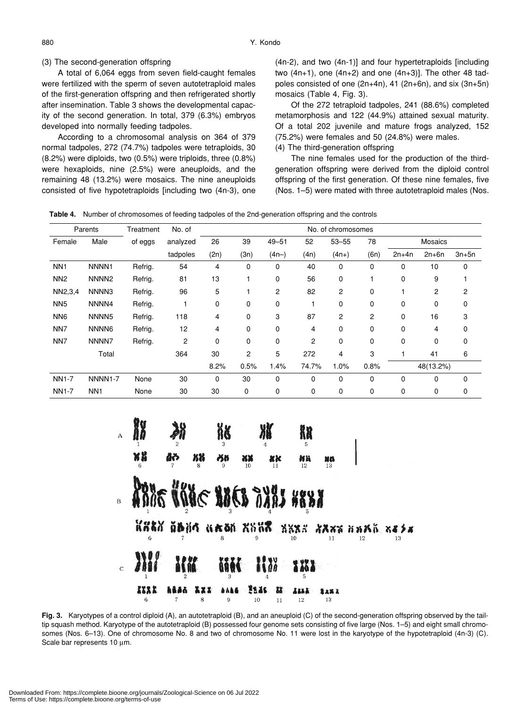# (3) The second-generation offspring

A total of 6,064 eggs from seven field-caught females were fertilized with the sperm of seven autotetraploid males of the first-generation offspring and then refrigerated shortly after insemination. Table 3 shows the developmental capacity of the second generation. In total, 379 (6.3%) embryos developed into normally feeding tadpoles.

According to a chromosomal analysis on 364 of 379 normal tadpoles, 272 (74.7%) tadpoles were tetraploids, 30 (8.2%) were diploids, two (0.5%) were triploids, three (0.8%) were hexaploids, nine (2.5%) were aneuploids, and the remaining 48 (13.2%) were mosaics. The nine aneuploids consisted of five hypotetraploids [including two (4n-3), one (4n-2), and two (4n-1)] and four hypertetraploids [including two (4n+1), one (4n+2) and one (4n+3)]. The other 48 tadpoles consisted of one (2n+4n), 41 (2n+6n), and six (3n+5n) mosaics (Table 4, Fig. 3).

Of the 272 tetraploid tadpoles, 241 (88.6%) completed metamorphosis and 122 (44.9%) attained sexual maturity. Of a total 202 juvenile and mature frogs analyzed, 152 (75.2%) were females and 50 (24.8%) were males.

(4) The third-generation offspring

The nine females used for the production of the thirdgeneration offspring were derived from the diploid control offspring of the first generation. Of these nine females, five (Nos. 1–5) were mated with three autotetraploid males (Nos.

**Table 4.** Number of chromosomes of feeding tadpoles of the 2nd-generation offspring and the controls

| Parents         |                     | Treatment | No. of         | No. of chromosomes |      |                |       |           |      |         |                |         |  |
|-----------------|---------------------|-----------|----------------|--------------------|------|----------------|-------|-----------|------|---------|----------------|---------|--|
| Female          | Male                | of eggs   | analyzed       | 26                 | 39   | $49 - 51$      | 52    | $53 - 55$ | 78   |         | <b>Mosaics</b> |         |  |
|                 |                     |           | tadpoles       | (2n)               | (3n) | $(4n-)$        | (4n)  | $(4n+)$   | (6n) | $2n+4n$ | $2n+6n$        | $3n+5n$ |  |
| NN <sub>1</sub> | NNNN <sub>1</sub>   | Refrig.   | 54             | 4                  | 0    | 0              | 40    | 0         | 0    | 0       | 10             | 0       |  |
| NN <sub>2</sub> | NNNN <sub>2</sub>   | Refrig.   | 81             | 13                 |      | 0              | 56    | 0         |      | 0       | 9              |         |  |
| NN2,3,4         | NNNN3               | Refrig.   | 96             | 5                  |      | $\overline{c}$ | 82    | 2         | 0    |         | 2              | 2       |  |
| NN <sub>5</sub> | NNNN4               | Refrig.   |                | 0                  | 0    | 0              | 1     | 0         | 0    | 0       | 0              | 0       |  |
| NN <sub>6</sub> | NNNN <sub>5</sub>   | Refrig.   | 118            | 4                  | 0    | 3              | 87    | 2         | 2    | 0       | 16             | 3       |  |
| NN7             | NNNN6               | Refrig.   | 12             | 4                  | 0    | 0              | 4     | 0         | 0    | 0       | 4              | 0       |  |
| NN7             | NNNN7               | Refrig.   | $\overline{c}$ | 0                  | 0    | 0              | 2     | 0         | 0    | 0       | $\Omega$       | 0       |  |
|                 | Total               |           | 364            | 30                 | 2    | 5              | 272   | 4         | 3    |         | 41             | 6       |  |
|                 |                     |           |                | 8.2%               | 0.5% | 1.4%           | 74.7% | 1.0%      | 0.8% |         | 48(13.2%)      |         |  |
| <b>NN1-7</b>    | NNNN <sub>1-7</sub> | None      | 30             | 0                  | 30   | 0              | 0     | 0         | 0    | 0       | $\Omega$       | 0       |  |
| <b>NN1-7</b>    | NN <sub>1</sub>     | None      | 30             | 30                 | 0    | 0              | 0     | 0         | 0    | 0       | 0              | 0       |  |



**Fig. 3.** Karyotypes of a control diploid (A), an autotetraploid (B), and an aneuploid (C) of the second-generation offspring observed by the tailtip squash method. Karyotype of the autotetraploid (B) possessed four genome sets consisting of five large (Nos. 1–5) and eight small chromosomes (Nos. 6–13). One of chromosome No. 8 and two of chromosome No. 11 were lost in the karyotype of the hypotetraploid (4n-3) (C). Scale bar represents 10 um.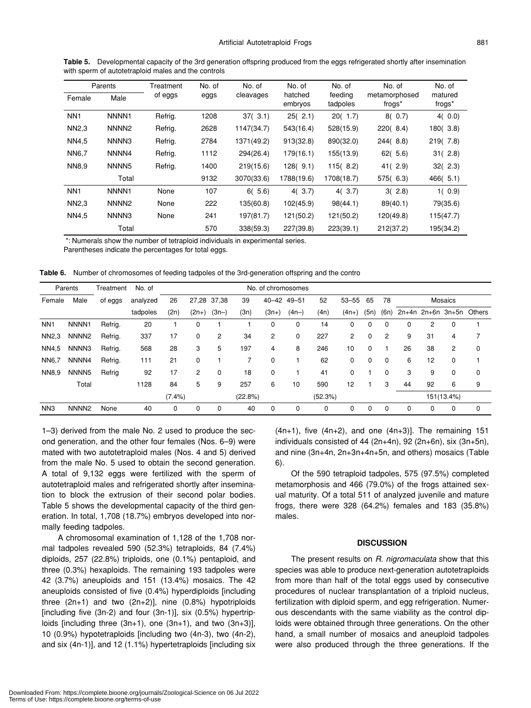|                    | Parents           | Treatment | No. of            | No. of     | No. of             | No. of              | No. of                  | No. of            |  |
|--------------------|-------------------|-----------|-------------------|------------|--------------------|---------------------|-------------------------|-------------------|--|
| Female             | Male              | of eggs   | cleavages<br>eggs |            | hatched<br>embryos | feeding<br>tadpoles | metamorphosed<br>frogs* | matured<br>frogs* |  |
| NN <sub>1</sub>    | NNNN <sub>1</sub> | Refrig.   | 1208              | 37(3.1)    | 25(2.1)            | 20(1.7)             | 8(0.7)                  | 4(0.0)            |  |
| NN <sub>2</sub> ,3 | NNNN <sub>2</sub> | Refrig.   | 2628              | 1147(34.7) | 543(16.4)          | 528(15.9)           | 220(8.4)                | 180(3.8)          |  |
| NN4,5              | NNNN3             | Refrig.   | 2784              | 1371(49.2) | 913(32.8)          | 890(32.0)           | 244(8.8)                | 219(7.8)          |  |
| <b>NN6,7</b>       | NNNN4             | Refrig.   | 1112              | 294(26.4)  | 179(16.1)          | 155(13.9)           | 62(5.6)                 | 31(2.8)           |  |
| <b>NN8.9</b>       | NNNN <sub>5</sub> | Refrig.   | 1400              | 219(15.6)  | 128(9.1)           | 115(8.2)            | 41(2.9)                 | 32(2.3)           |  |
|                    | Total             |           | 9132              | 3070(33.6) | 1788(19.6)         | 1708(18.7)          | 575(6.3)                | 466( 5.1)         |  |
| NN <sub>1</sub>    | NNNN <sub>1</sub> | None      | 107               | 6(5.6)     | 4(3.7)             | 4(3.7)              | 3(2.8)                  | 1(0.9)            |  |
| NN <sub>2</sub> ,3 | NNNN <sub>2</sub> | None      | 222               | 135(60.8)  | 102(45.9)          | 98(44.1)            | 89(40.1)                | 79(35.6)          |  |
| NN4,5              | NNNN3             | None      | 241               | 197(81.7)  | 121(50.2)          | 121(50.2)           | 120(49.8)               | 115(47.7)         |  |
|                    | Total             |           | 570               | 338(59.3)  | 227(39.8)          | 223(39.1)           | 212(37.2)               | 195(34.2)         |  |

**Table 5.** Developmental capacity of the 3rd generation offspring produced from the eggs refrigerated shortly after insemination with sperm of autotetraploid males and the controls

\*: Numerals show the number of tetraploid individuals in experimental series.

Parentheses indicate the percentages for total eggs.

**Table 6.** Number of chromosomes of feeding tadpoles of the 3rd-generation offspring and the contro

|                    | Parents           | Treatment | No. of   |       | No. of chromosomes |         |         |           |           |         |           |             |      |       |                   |                |                |
|--------------------|-------------------|-----------|----------|-------|--------------------|---------|---------|-----------|-----------|---------|-----------|-------------|------|-------|-------------------|----------------|----------------|
| Female             | Male              | of eggs   | analyzed | 26    | 27,28              | 37,38   | 39      | $40 - 42$ | $49 - 51$ | 52      | $53 - 55$ | 65          | 78   |       |                   | <b>Mosaics</b> |                |
|                    |                   |           | tadpoles | (2n)  | $(2n+)$            | $(3n-)$ | (3n)    | (3n+)     | $(4n-)$   | (4n)    | $(4n+)$   | (5n)        | (6n) | 2n+4n |                   | 2n+6n 3n+5n    | Others         |
| NN <sub>1</sub>    | NNNN <sub>1</sub> | Refrig.   | 20       |       | 0                  |         |         | 0         | 0         | 14      | 0         | 0           | 0    | 0     | 2                 | 0              |                |
| NN <sub>2</sub> ,3 | NNNN <sub>2</sub> | Refrig.   | 337      | 17    | 0                  | 2       | 34      | 2         | 0         | 227     | 2         | 0           | 2    | 9     | 31                | 4              | $\overline{7}$ |
| NN4,5              | NNNN3             | Refrig.   | 568      | 28    | 3                  | 5       | 197     | 4         | 8         | 246     | 10        | 0           |      | 26    | 38                | 2              | 0              |
| NN6,7              | NNNN4             | Refrig.   | 111      | 21    | 0                  |         |         | 0         |           | 62      | 0         | 0           | 0    | 6     | $12 \overline{ }$ | 0              |                |
| NN8,9              | NNNN <sub>5</sub> | Refrig    | 92       | 17    | 2                  | 0       | 18      | 0         |           | 41      | 0         |             | 0    | 3     | 9                 | 0              | 0              |
|                    | Total             |           | 1128     | 84    | 5                  | 9       | 257     | 6         | 10        | 590     | 12        |             | 3    | 44    | 92                | 6              | 9              |
|                    |                   |           |          | (7.4% |                    |         | (22.8%) |           |           | (52.3%) |           |             |      |       |                   | 151(13.4%)     |                |
| NN <sub>3</sub>    | NNNN <sub>2</sub> | None      | 40       | 0     | 0                  | 0       | 40      | 0         | 0         | 0       | 0         | $\mathbf 0$ | 0    | 0     | 0                 | 0              | 0              |

1–3) derived from the male No. 2 used to produce the second generation, and the other four females (Nos. 6–9) were mated with two autotetraploid males (Nos. 4 and 5) derived from the male No. 5 used to obtain the second generation. A total of 9,132 eggs were fertilized with the sperm of autotetraploid males and refrigerated shortly after insemination to block the extrusion of their second polar bodies. Table 5 shows the developmental capacity of the third generation. In total, 1,708 (18.7%) embryos developed into normally feeding tadpoles.

A chromosomal examination of 1,128 of the 1,708 normal tadpoles revealed 590 (52.3%) tetraploids, 84 (7.4%) diploids, 257 (22.8%) triploids, one (0.1%) pentaploid, and three (0.3%) hexaploids. The remaining 193 tadpoles were 42 (3.7%) aneuploids and 151 (13.4%) mosaics. The 42 aneuploids consisted of five (0.4%) hyperdiploids [including three  $(2n+1)$  and two  $(2n+2)$ ], nine  $(0.8\%)$  hypotriploids [including five  $(3n-2)$  and four  $(3n-1)$ ], six  $(0.5%)$  hypertriploids [including three (3n+1), one (3n+1), and two (3n+3)], 10 (0.9%) hypotetraploids [including two (4n-3), two (4n-2), and six (4n-1)], and 12 (1.1%) hypertetraploids [including six (4n+1), five (4n+2), and one (4n+3)]. The remaining 151 individuals consisted of  $44$  ( $2n+4n$ ),  $92$  ( $2n+6n$ ), six ( $3n+5n$ ), and nine (3n+4n, 2n+3n+4n+5n, and others) mosaics (Table 6).

Of the 590 tetraploid tadpoles, 575 (97.5%) completed metamorphosis and 466 (79.0%) of the frogs attained sexual maturity. Of a total 511 of analyzed juvenile and mature frogs, there were 328 (64.2%) females and 183 (35.8%) males.

#### **DISCUSSION**

The present results on *R. nigromaculata* show that this species was able to produce next-generation autotetraploids from more than half of the total eggs used by consecutive procedures of nuclear transplantation of a triploid nucleus, fertilization with diploid sperm, and egg refrigeration. Numerous descendants with the same viability as the control diploids were obtained through three generations. On the other hand, a small number of mosaics and aneuploid tadpoles were also produced through the three generations. If the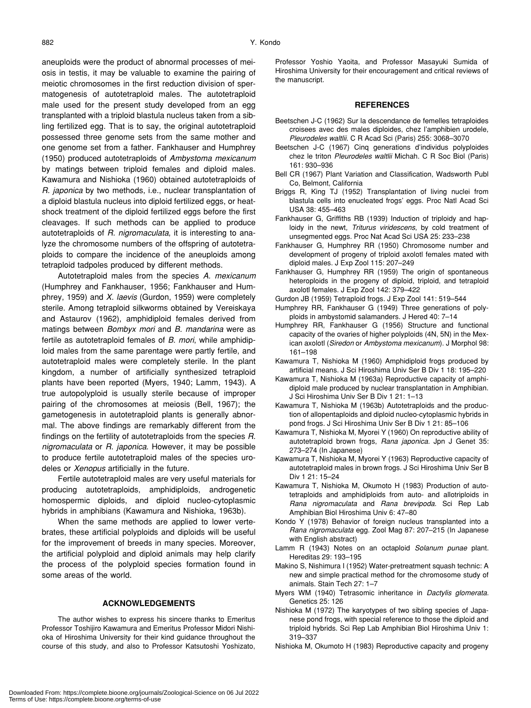aneuploids were the product of abnormal processes of meiosis in testis, it may be valuable to examine the pairing of meiotic chromosomes in the first reduction division of spermatogenesis of autotetraploid males. The autotetraploid male used for the present study developed from an egg transplanted with a triploid blastula nucleus taken from a sibling fertilized egg. That is to say, the original autotetraploid possessed three genome sets from the same mother and one genome set from a father. Fankhauser and Humphrey (1950) produced autotetraploids of *Ambystoma mexicanum* by matings between triploid females and diploid males. Kawamura and Nishioka (1960) obtained autotetraploids of *R. japonica* by two methods, i.e., nuclear transplantation of a diploid blastula nucleus into diploid fertilized eggs, or heatshock treatment of the diploid fertilized eggs before the first cleavages. If such methods can be applied to produce autotetraploids of *R. nigromaculata*, it is interesting to analyze the chromosome numbers of the offspring of autotetraploids to compare the incidence of the aneuploids among tetraploid tadpoles produced by different methods.

Autotetraploid males from the species *A. mexicanum* (Humphrey and Fankhauser, 1956; Fankhauser and Humphrey, 1959) and *X. laevis* (Gurdon, 1959) were completely sterile. Among tetraploid silkworms obtained by Vereiskaya and Astaurov (1962), amphidiploid females derived from matings between *Bombyx mori* and *B. mandarina* were as fertile as autotetraploid females of *B. mori*, while amphidiploid males from the same parentage were partly fertile, and autotetraploid males were completely sterile. In the plant kingdom, a number of artificially synthesized tetraploid plants have been reported (Myers, 1940; Lamm, 1943). A true autopolyploid is usually sterile because of improper pairing of the chromosomes at meiosis (Bell, 1967); the gametogenesis in autotetraploid plants is generally abnormal. The above findings are remarkably different from the findings on the fertility of autotetraploids from the species *R. nigromaculata* or *R. japonica*. However, it may be possible to produce fertile autotetraploid males of the species urodeles or *Xenopus* artificially in the future.

Fertile autotetraploid males are very useful materials for producing autotetraploids, amphidiploids, androgenetic homospermic diploids, and diploid nucleo-cytoplasmic hybrids in amphibians (Kawamura and Nishioka, 1963b).

When the same methods are applied to lower vertebrates, these artificial polyploids and diploids will be useful for the improvement of breeds in many species. Moreover, the artificial polyploid and diploid animals may help clarify the process of the polyploid species formation found in some areas of the world.

#### **ACKNOWLEDGEMENTS**

The author wishes to express his sincere thanks to Emeritus Professor Toshijiro Kawamura and Emeritus Professor Midori Nishioka of Hiroshima University for their kind guidance throughout the course of this study, and also to Professor Katsutoshi Yoshizato,

Professor Yoshio Yaoita, and Professor Masayuki Sumida of Hiroshima University for their encouragement and critical reviews of the manuscript.

### **REFERENCES**

- Beetschen J-C (1962) Sur la descendance de femelles tetraploides croisees avec des males diploides, chez l'amphibien urodele, *Pleurodeles waltlii*. C R Acad Sci (Paris) 255: 3068–3070
- Beetschen J-C (1967) Cinq generations d'individus polyploides chez le triton *Pleurodeles waltlii* Michah. C R Soc Biol (Paris) 161: 930–936
- Bell CR (1967) Plant Variation and Classification, Wadsworth Publ Co, Belmont, California
- Briggs R, King TJ (1952) Transplantation of living nuclei from blastula cells into enucleated frogs' eggs. Proc Natl Acad Sci USA 38: 455–463
- Fankhauser G, Griffiths RB (1939) Induction of triploidy and haploidy in the newt, *Triturus viridescens*, by cold treatment of unsegmented eggs. Proc Nat Acad Sci USA 25: 233–238
- Fankhauser G, Humphrey RR (1950) Chromosome number and development of progeny of triploid axolotl females mated with diploid males. J Exp Zool 115: 207–249
- Fankhauser G, Humphrey RR (1959) The origin of spontaneous heteroploids in the progeny of diploid, triploid, and tetraploid axolotl females. J Exp Zool 142: 379–422
- Gurdon JB (1959) Tetraploid frogs. J Exp Zool 141: 519–544
- Humphrey RR, Fankhauser G (1949) Three generations of polyploids in ambystomid salamanders. J Hered 40: 7–14
- Humphrey RR, Fankhauser G (1956) Structure and functional capacity of the ovaries of higher polyploids (4N, 5N) in the Mexican axolotl (*Siredon* or *Ambystoma mexicanum*). J Morphol 98: 161–198
- Kawamura T, Nishioka M (1960) Amphidiploid frogs produced by artificial means. J Sci Hiroshima Univ Ser B Div 1 18: 195–220
- Kawamura T, Nishioka M (1963a) Reproductive capacity of amphidiploid male produced by nuclear transplantation in Amphibian. J Sci Hiroshima Univ Ser B Div 1 21: 1–13
- Kawamura T, Nishioka M (1963b) Autotetraploids and the production of allopentaploids and diploid nucleo-cytoplasmic hybrids in pond frogs. J Sci Hiroshima Univ Ser B Div 1 21: 85–106
- Kawamura T, Nishioka M, Myorei Y (1960) On reproductive ability of autotetraploid brown frogs, *Rana japonica*. Jpn J Genet 35: 273–274 (In Japanese)
- Kawamura T, Nishioka M, Myorei Y (1963) Reproductive capacity of autotetraploid males in brown frogs. J Sci Hiroshima Univ Ser B Div 1 21: 15–24
- Kawamura T, Nishioka M, Okumoto H (1983) Production of autotetraploids and amphidiploids from auto- and allotriploids in *Rana nigromaculata* and *Rana brevipoda*. Sci Rep Lab Amphibian Biol Hiroshima Univ 6: 47–80
- Kondo Y (1978) Behavior of foreign nucleus transplanted into a *Rana nigromaculata* egg. Zool Mag 87: 207–215 (In Japanese with English abstract)
- Lamm R (1943) Notes on an octaploid *Solanum punae* plant. Hereditas 29: 193–195
- Makino S, Nishimura I (1952) Water-pretreatment squash technic: A new and simple practical method for the chromosome study of animals. Stain Tech 27: 1–7
- Myers WM (1940) Tetrasomic inheritance in *Dactylis glomerata*. Genetics 25: 126
- Nishioka M (1972) The karyotypes of two sibling species of Japanese pond frogs, with special reference to those the diploid and triploid hybrids. Sci Rep Lab Amphibian Biol Hiroshima Univ 1: 319–337
- Nishioka M, Okumoto H (1983) Reproductive capacity and progeny